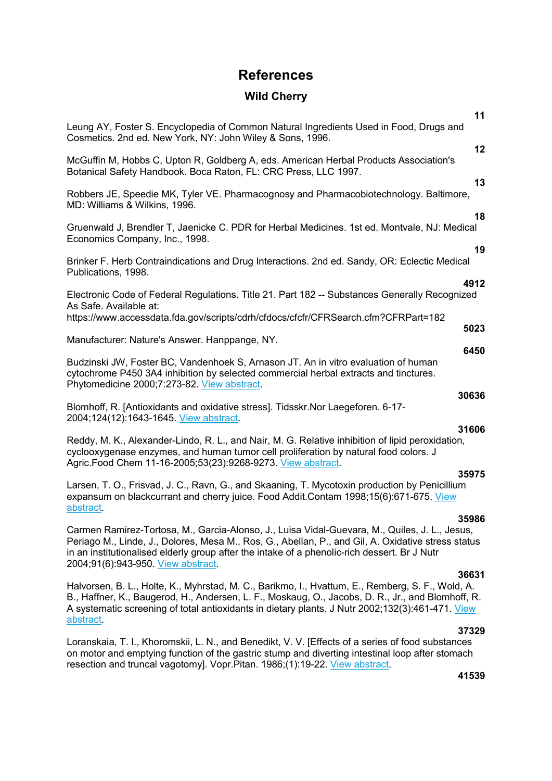## **References**

## **Wild Cherry**

| 11                                                                                                                                                                                                                                                                                                                                                 |
|----------------------------------------------------------------------------------------------------------------------------------------------------------------------------------------------------------------------------------------------------------------------------------------------------------------------------------------------------|
| Leung AY, Foster S. Encyclopedia of Common Natural Ingredients Used in Food, Drugs and<br>Cosmetics. 2nd ed. New York, NY: John Wiley & Sons, 1996.                                                                                                                                                                                                |
| 12<br>McGuffin M, Hobbs C, Upton R, Goldberg A, eds. American Herbal Products Association's<br>Botanical Safety Handbook. Boca Raton, FL: CRC Press, LLC 1997.                                                                                                                                                                                     |
| 13<br>Robbers JE, Speedie MK, Tyler VE. Pharmacognosy and Pharmacobiotechnology. Baltimore,<br>MD: Williams & Wilkins, 1996.                                                                                                                                                                                                                       |
| 18<br>Gruenwald J, Brendler T, Jaenicke C. PDR for Herbal Medicines. 1st ed. Montvale, NJ: Medical<br>Economics Company, Inc., 1998.                                                                                                                                                                                                               |
| 19<br>Brinker F. Herb Contraindications and Drug Interactions. 2nd ed. Sandy, OR: Eclectic Medical<br>Publications, 1998.                                                                                                                                                                                                                          |
| 4912<br>Electronic Code of Federal Regulations. Title 21. Part 182 -- Substances Generally Recognized<br>As Safe. Available at:                                                                                                                                                                                                                    |
| https://www.accessdata.fda.gov/scripts/cdrh/cfdocs/cfcfr/CFRSearch.cfm?CFRPart=182<br>5023                                                                                                                                                                                                                                                         |
| Manufacturer: Nature's Answer. Hanppange, NY.<br>6450                                                                                                                                                                                                                                                                                              |
| Budzinski JW, Foster BC, Vandenhoek S, Arnason JT. An in vitro evaluation of human<br>cytochrome P450 3A4 inhibition by selected commercial herbal extracts and tinctures.<br>Phytomedicine 2000;7:273-82. View abstract.                                                                                                                          |
| 30636<br>Blomhoff, R. [Antioxidants and oxidative stress]. Tidsskr.Nor Laegeforen. 6-17-<br>2004;124(12):1643-1645. View abstract.                                                                                                                                                                                                                 |
| 31606<br>Reddy, M. K., Alexander-Lindo, R. L., and Nair, M. G. Relative inhibition of lipid peroxidation,<br>cyclooxygenase enzymes, and human tumor cell proliferation by natural food colors. J<br>Agric. Food Chem 11-16-2005;53(23):9268-9273. View abstract.                                                                                  |
| 35975<br>Larsen, T. O., Frisvad, J. C., Ravn, G., and Skaaning, T. Mycotoxin production by Penicillium<br>expansum on blackcurrant and cherry juice. Food Addit.Contam 1998;15(6):671-675. View<br>abstract.                                                                                                                                       |
| 35986<br>Carmen Ramirez-Tortosa, M., Garcia-Alonso, J., Luisa Vidal-Guevara, M., Quiles, J. L., Jesus,<br>Periago M., Linde, J., Dolores, Mesa M., Ros, G., Abellan, P., and Gil, A. Oxidative stress status<br>in an institutionalised elderly group after the intake of a phenolic-rich dessert. Br J Nutr<br>2004;91(6):943-950. View abstract. |
| 36631<br>Halvorsen, B. L., Holte, K., Myhrstad, M. C., Barikmo, I., Hvattum, E., Remberg, S. F., Wold, A.                                                                                                                                                                                                                                          |

**37329** 

Loranskaia, T. I., Khoromskii, L. N., and Benedikt, V. V. [Effects of a series of food substances on motor and emptying function of the gastric stump and diverting intestinal loop after stomach resection and truncal vagotomy]. Vopr.Pitan. 1986;(1):19-22. View abstract.

B., Haffner, K., Baugerod, H., Andersen, L. F., Moskaug, O., Jacobs, D. R., Jr., and Blomhoff, R. A systematic screening of total antioxidants in dietary plants. J Nutr 2002;132(3):461-471. View

abstract.

### **41539**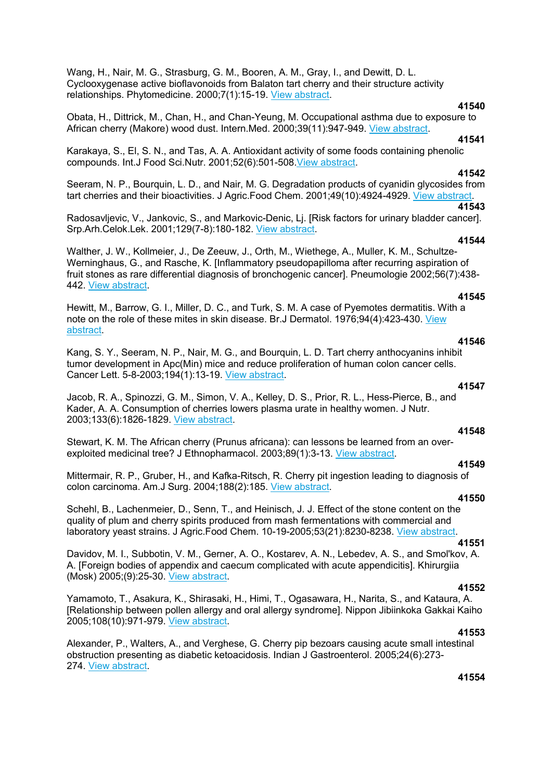Wang, H., Nair, M. G., Strasburg, G. M., Booren, A. M., Gray, I., and Dewitt, D. L. Cyclooxygenase active bioflavonoids from Balaton tart cherry and their structure activity relationships. Phytomedicine. 2000;7(1):15-19. View abstract.

## **41540**

Obata, H., Dittrick, M., Chan, H., and Chan-Yeung, M. Occupational asthma due to exposure to African cherry (Makore) wood dust. Intern.Med. 2000;39(11):947-949. View abstract.

#### **41541**

Karakaya, S., El, S. N., and Tas, A. A. Antioxidant activity of some foods containing phenolic compounds. Int.J Food Sci.Nutr. 2001;52(6):501-508.View abstract.

## **41542**

Seeram, N. P., Bourquin, L. D., and Nair, M. G. Degradation products of cyanidin glycosides from tart cherries and their bioactivities. J Agric.Food Chem. 2001;49(10):4924-4929. View abstract.

**41543**  Radosavljevic, V., Jankovic, S., and Markovic-Denic, Lj. [Risk factors for urinary bladder cancer]. Srp.Arh.Celok.Lek. 2001;129(7-8):180-182. View abstract.

## **41544**

Walther, J. W., Kollmeier, J., De Zeeuw, J., Orth, M., Wiethege, A., Muller, K. M., Schultze-Werninghaus, G., and Rasche, K. [Inflammatory pseudopapilloma after recurring aspiration of fruit stones as rare differential diagnosis of bronchogenic cancer]. Pneumologie 2002;56(7):438- 442. View abstract.

## **41545**

Hewitt, M., Barrow, G. I., Miller, D. C., and Turk, S. M. A case of Pyemotes dermatitis. With a note on the role of these mites in skin disease. Br.J Dermatol. 1976;94(4):423-430. View abstract.

#### **41546**

**41547** 

Kang, S. Y., Seeram, N. P., Nair, M. G., and Bourquin, L. D. Tart cherry anthocyanins inhibit tumor development in Apc(Min) mice and reduce proliferation of human colon cancer cells. Cancer Lett. 5-8-2003;194(1):13-19. View abstract.

Jacob, R. A., Spinozzi, G. M., Simon, V. A., Kelley, D. S., Prior, R. L., Hess-Pierce, B., and Kader, A. A. Consumption of cherries lowers plasma urate in healthy women. J Nutr. 2003;133(6):1826-1829. View abstract. **41548** 

Stewart, K. M. The African cherry (Prunus africana): can lessons be learned from an overexploited medicinal tree? J Ethnopharmacol. 2003;89(1):3-13. View abstract.

Mittermair, R. P., Gruber, H., and Kafka-Ritsch, R. Cherry pit ingestion leading to diagnosis of colon carcinoma. Am.J Surg. 2004;188(2):185. View abstract.

#### **41550**

**41549** 

Schehl, B., Lachenmeier, D., Senn, T., and Heinisch, J. J. Effect of the stone content on the quality of plum and cherry spirits produced from mash fermentations with commercial and laboratory yeast strains. J Agric.Food Chem. 10-19-2005;53(21):8230-8238. View abstract.

### **41551**

Davidov, M. I., Subbotin, V. M., Gerner, A. O., Kostarev, A. N., Lebedev, A. S., and Smol'kov, A. A. [Foreign bodies of appendix and caecum complicated with acute appendicitis]. Khirurgiia (Mosk) 2005;(9):25-30. View abstract.

#### **41552**

Yamamoto, T., Asakura, K., Shirasaki, H., Himi, T., Ogasawara, H., Narita, S., and Kataura, A. [Relationship between pollen allergy and oral allergy syndrome]. Nippon Jibiinkoka Gakkai Kaiho 2005;108(10):971-979. View abstract.

#### **41553**

Alexander, P., Walters, A., and Verghese, G. Cherry pip bezoars causing acute small intestinal obstruction presenting as diabetic ketoacidosis. Indian J Gastroenterol. 2005;24(6):273- 274. View abstract.

## **41554**